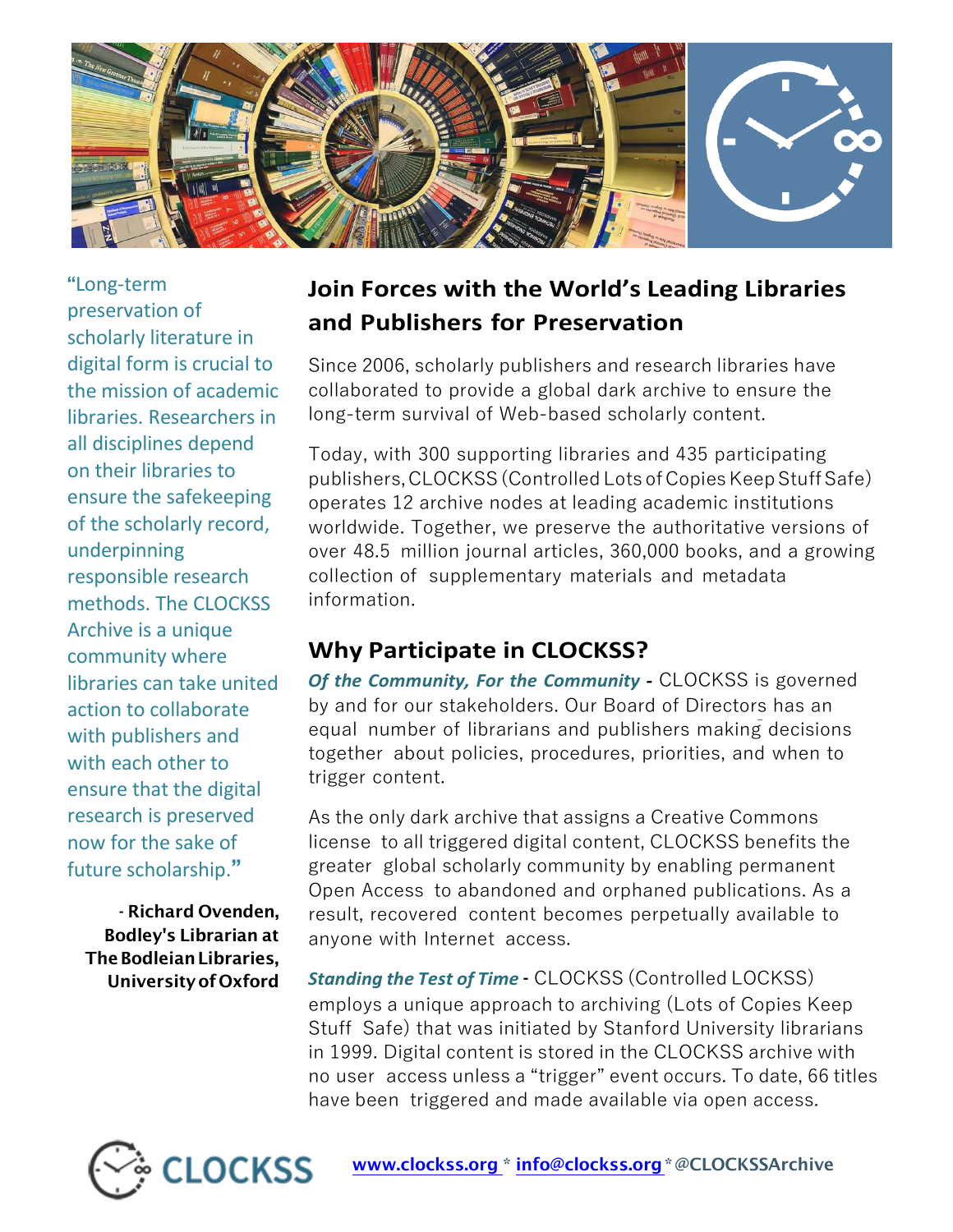

"Long-term preservation of scholarly literature in digital form is crucial to the mission of academic libraries. Researchers in all disciplines depend on their libraries to ensure the safekeeping of the scholarly record, underpinning responsible research methods. The CLOCKSS Archive is a unique community where libraries can take united action to collaborate with publishers and with each other to ensure that the digital research is preserved now for the sake of future scholarship."

- Richard Ovenden, Bodley's Librarian at The Bodleian Libraries, Universityof Oxford

## **Join Forces with the World's Leading Libraries and Publishers for Preservation**

Since 2006, scholarly publishers and research libraries have collaborated to provide a global dark archive to ensure the long-term survival of Web-based scholarly content.

Today, with 300 supporting libraries and 435 participating publishers, CLOCKSS (Controlled Lots of Copies Keep Stuff Safe) operates 12 archive nodes at leading academic institutions worldwide. Together, we preserve the authoritative versions of over 48.5 million journal articles, 360,000 books, and a growing collection of supplementary materials and metadata information.

## **Why Participate in CLOCKSS?**

*Of the Community, For the Community -* CLOCKSS is governed by and for our stakeholders. Our Board of Directors has an equal number of librarians and publishers making decisions together about policies, procedures, priorities, and when to trigger content.

As the only dark archive that assigns a Creative Commons license to all triggered digital content, CLOCKSS benefits the greater global scholarly community by enabling permanent Open Access to abandoned and orphaned publications. As a result, recovered content becomes perpetually available to anyone with Internet access.

*Standing the Test of Time* - CLOCKSS (Controlled LOCKSS) employs a unique approach to archiving (Lots of Copies Keep Stuff Safe) that was initiated by Stanford University librarians in 1999. Digital content is stored in the CLOCKSS archive with no user access unless a "trigger" event occurs. To date, 66 titles have been triggered and made available via open access.